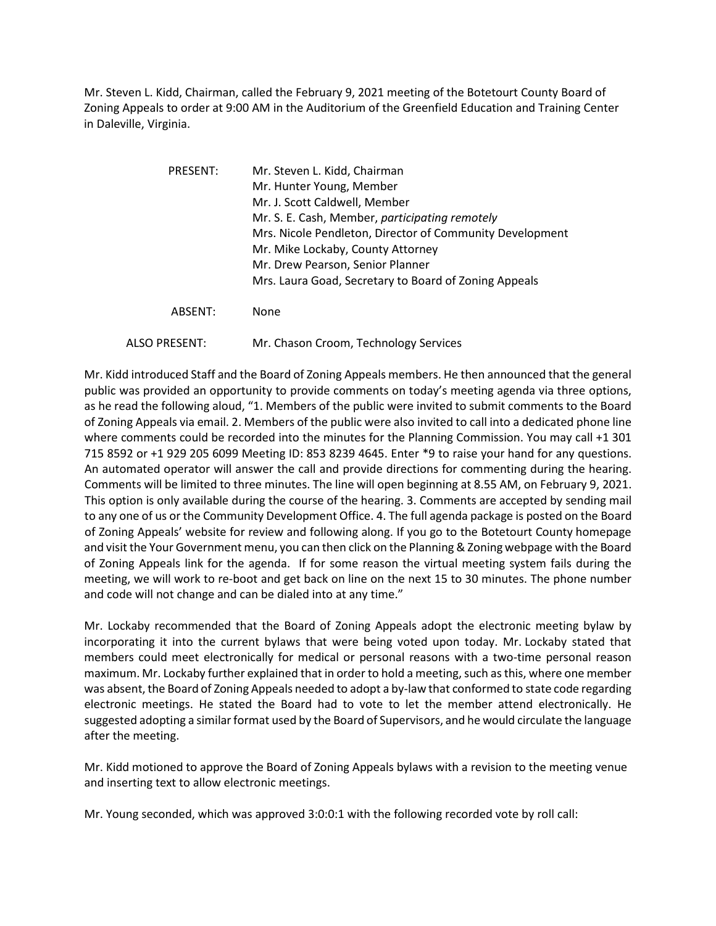Mr. Steven L. Kidd, Chairman, called the February 9, 2021 meeting of the Botetourt County Board of Zoning Appeals to order at 9:00 AM in the Auditorium of the Greenfield Education and Training Center in Daleville, Virginia.

| PRESENT:             | Mr. Steven L. Kidd, Chairman<br>Mr. Hunter Young, Member<br>Mr. J. Scott Caldwell, Member<br>Mr. S. E. Cash, Member, participating remotely<br>Mrs. Nicole Pendleton, Director of Community Development<br>Mr. Mike Lockaby, County Attorney<br>Mr. Drew Pearson, Senior Planner |
|----------------------|----------------------------------------------------------------------------------------------------------------------------------------------------------------------------------------------------------------------------------------------------------------------------------|
|                      | Mrs. Laura Goad, Secretary to Board of Zoning Appeals                                                                                                                                                                                                                            |
| ABSENT:              | None                                                                                                                                                                                                                                                                             |
| <b>ALSO PRESENT:</b> | Mr. Chason Croom, Technology Services                                                                                                                                                                                                                                            |

Mr. Kidd introduced Staff and the Board of Zoning Appeals members. He then announced that the general public was provided an opportunity to provide comments on today's meeting agenda via three options, as he read the following aloud, "1. Members of the public were invited to submit comments to the Board of Zoning Appeals via email. 2. Members of the public were also invited to call into a dedicated phone line where comments could be recorded into the minutes for the Planning Commission. You may call +1 301 715 8592 or +1 929 205 6099 Meeting ID: 853 8239 4645. Enter \*9 to raise your hand for any questions. An automated operator will answer the call and provide directions for commenting during the hearing. Comments will be limited to three minutes. The line will open beginning at 8.55 AM, on February 9, 2021. This option is only available during the course of the hearing. 3. Comments are accepted by sending mail to any one of us or the Community Development Office. 4. The full agenda package is posted on the Board of Zoning Appeals' website for review and following along. If you go to the Botetourt County homepage and visit the Your Government menu, you can then click on the Planning& Zoning webpage with the Board of Zoning Appeals link for the agenda. If for some reason the virtual meeting system fails during the meeting, we will work to re-boot and get back on line on the next 15 to 30 minutes. The phone number and code will not change and can be dialed into at any time."

Mr. Lockaby recommended that the Board of Zoning Appeals adopt the electronic meeting bylaw by incorporating it into the current bylaws that were being voted upon today. Mr. Lockaby stated that members could meet electronically for medical or personal reasons with a two-time personal reason maximum. Mr. Lockaby further explained that in order to hold a meeting, such as this, where one member was absent, the Board of Zoning Appeals needed to adopt a by-law that conformed to state code regarding electronic meetings. He stated the Board had to vote to let the member attend electronically. He suggested adopting a similar format used by the Board of Supervisors, and he would circulate the language after the meeting.

Mr. Kidd motioned to approve the Board of Zoning Appeals bylaws with a revision to the meeting venue and inserting text to allow electronic meetings.

Mr. Young seconded, which was approved 3:0:0:1 with the following recorded vote by roll call: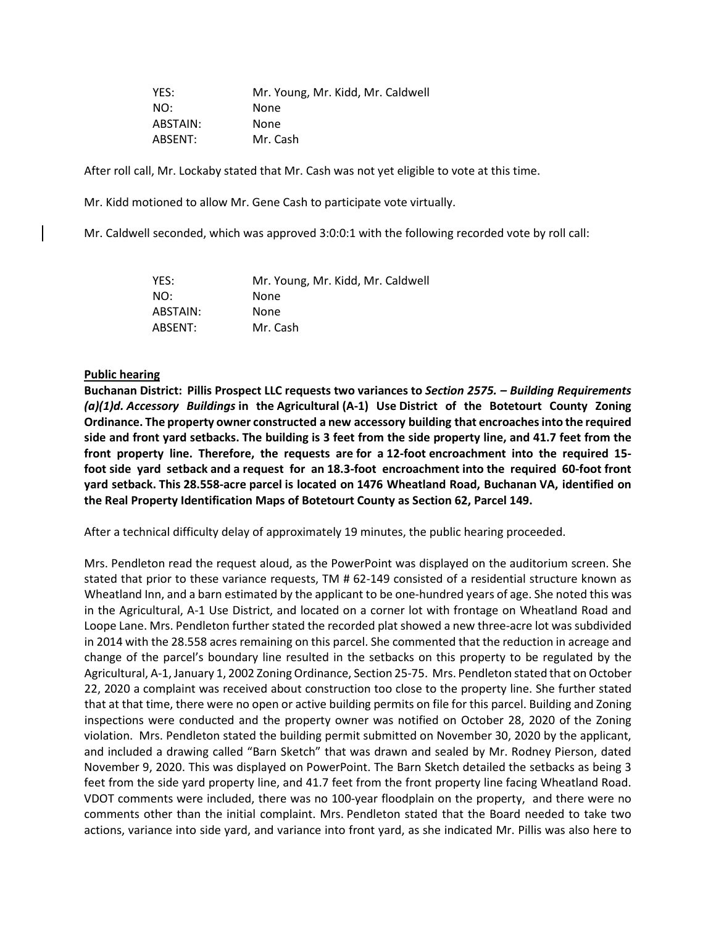YES: Mr. Young, Mr. Kidd, Mr. Caldwell NO: None ABSTAIN: None ABSENT: Mr. Cash

After roll call, Mr. Lockaby stated that Mr. Cash was not yet eligible to vote at this time.

Mr. Kidd motioned to allow Mr. Gene Cash to participate vote virtually.

Mr. Caldwell seconded, which was approved 3:0:0:1 with the following recorded vote by roll call:

| YES:     | Mr. Young, Mr. Kidd, Mr. Caldwell |
|----------|-----------------------------------|
| NO:      | None                              |
| ABSTAIN: | None                              |
| ABSENT:  | Mr. Cash                          |

## **Public hearing**

**Buchanan District: Pillis Prospect LLC requests two variances to** *Section 2575. – Building Requirements (a)(1)d. Accessory Buildings* **in the Agricultural (A-1) Use District of the Botetourt County Zoning Ordinance. The property owner constructed a new accessory building that encroachesinto the required** side and front yard setbacks. The building is 3 feet from the side property line, and 41.7 feet from the **front property line. Therefore, the requests are for a 12-foot encroachment into the required 15 foot side yard setback and a request for an 18.3-foot encroachment into the required 60-foot front yard setback. This 28.558-acre parcel is located on 1476 Wheatland Road, Buchanan VA, identified on the Real Property Identification Maps of Botetourt County as Section 62, Parcel 149.**

After a technical difficulty delay of approximately 19 minutes, the public hearing proceeded.

Mrs. Pendleton read the request aloud, as the PowerPoint was displayed on the auditorium screen. She stated that prior to these variance requests, TM # 62-149 consisted of a residential structure known as Wheatland Inn, and a barn estimated by the applicant to be one-hundred years of age. She noted this was in the Agricultural, A-1 Use District, and located on a corner lot with frontage on Wheatland Road and Loope Lane. Mrs. Pendleton further stated the recorded plat showed a new three-acre lot was subdivided in 2014 with the 28.558 acres remaining on this parcel. She commented that the reduction in acreage and change of the parcel's boundary line resulted in the setbacks on this property to be regulated by the Agricultural, A-1, January 1, 2002 Zoning Ordinance, Section 25-75. Mrs. Pendleton stated that on October 22, 2020 a complaint was received about construction too close to the property line. She further stated that at that time, there were no open or active building permits on file for this parcel. Building and Zoning inspections were conducted and the property owner was notified on October 28, 2020 of the Zoning violation. Mrs. Pendleton stated the building permit submitted on November 30, 2020 by the applicant, and included a drawing called "Barn Sketch" that was drawn and sealed by Mr. Rodney Pierson, dated November 9, 2020. This was displayed on PowerPoint. The Barn Sketch detailed the setbacks as being 3 feet from the side yard property line, and 41.7 feet from the front property line facing Wheatland Road. VDOT comments were included, there was no 100-year floodplain on the property, and there were no comments other than the initial complaint. Mrs. Pendleton stated that the Board needed to take two actions, variance into side yard, and variance into front yard, as she indicated Mr. Pillis was also here to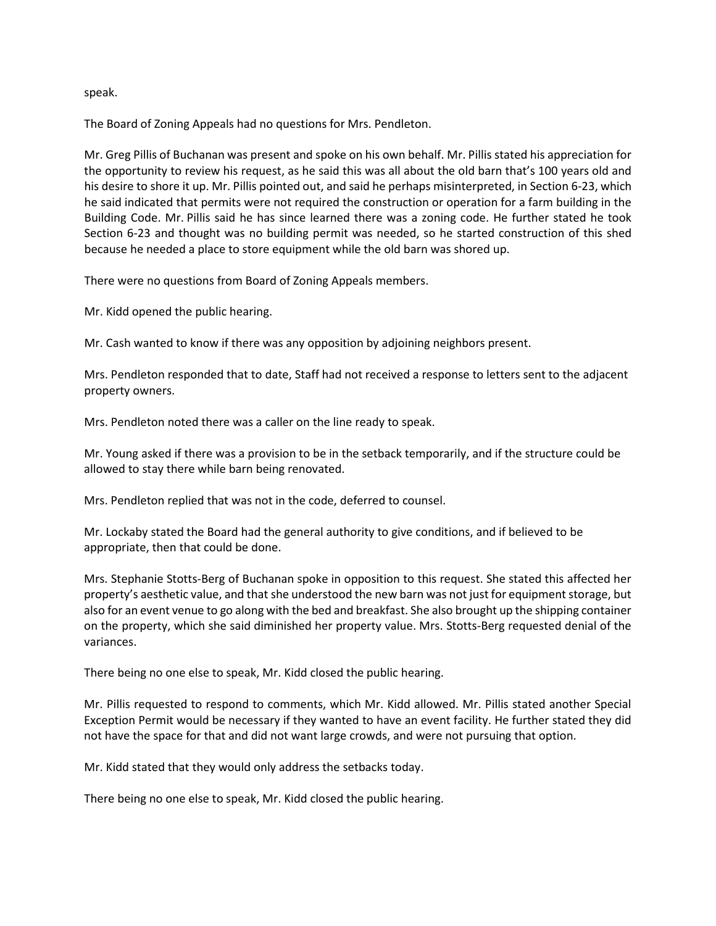speak.

The Board of Zoning Appeals had no questions for Mrs. Pendleton.

Mr. Greg Pillis of Buchanan was present and spoke on his own behalf. Mr. Pillis stated his appreciation for the opportunity to review his request, as he said this was all about the old barn that's 100 years old and his desire to shore it up. Mr. Pillis pointed out, and said he perhaps misinterpreted, in Section 6-23, which he said indicated that permits were not required the construction or operation for a farm building in the Building Code. Mr. Pillis said he has since learned there was a zoning code. He further stated he took Section 6-23 and thought was no building permit was needed, so he started construction of this shed because he needed a place to store equipment while the old barn was shored up.

There were no questions from Board of Zoning Appeals members.

Mr. Kidd opened the public hearing.

Mr. Cash wanted to know if there was any opposition by adjoining neighbors present.

Mrs. Pendleton responded that to date, Staff had not received a response to letters sent to the adjacent property owners.

Mrs. Pendleton noted there was a caller on the line ready to speak.

Mr. Young asked if there was a provision to be in the setback temporarily, and if the structure could be allowed to stay there while barn being renovated.

Mrs. Pendleton replied that was not in the code, deferred to counsel.

Mr. Lockaby stated the Board had the general authority to give conditions, and if believed to be appropriate, then that could be done.

Mrs. Stephanie Stotts-Berg of Buchanan spoke in opposition to this request. She stated this affected her property's aesthetic value, and that she understood the new barn was not just for equipment storage, but also for an event venue to go along with the bed and breakfast. She also brought up the shipping container on the property, which she said diminished her property value. Mrs. Stotts-Berg requested denial of the variances.

There being no one else to speak, Mr. Kidd closed the public hearing.

Mr. Pillis requested to respond to comments, which Mr. Kidd allowed. Mr. Pillis stated another Special Exception Permit would be necessary if they wanted to have an event facility. He further stated they did not have the space for that and did not want large crowds, and were not pursuing that option.

Mr. Kidd stated that they would only address the setbacks today.

There being no one else to speak, Mr. Kidd closed the public hearing.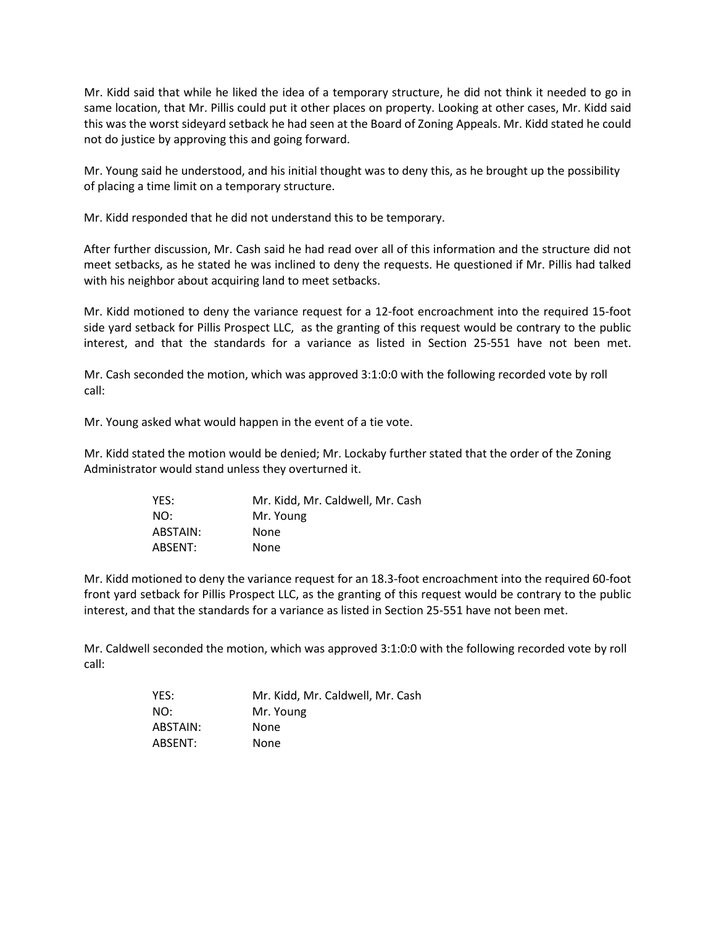Mr. Kidd said that while he liked the idea of a temporary structure, he did not think it needed to go in same location, that Mr. Pillis could put it other places on property. Looking at other cases, Mr. Kidd said this was the worst sideyard setback he had seen at the Board of Zoning Appeals. Mr. Kidd stated he could not do justice by approving this and going forward.

Mr. Young said he understood, and his initial thought was to deny this, as he brought up the possibility of placing a time limit on a temporary structure.

Mr. Kidd responded that he did not understand this to be temporary.

After further discussion, Mr. Cash said he had read over all of this information and the structure did not meet setbacks, as he stated he was inclined to deny the requests. He questioned if Mr. Pillis had talked with his neighbor about acquiring land to meet setbacks.

Mr. Kidd motioned to deny the variance request for a 12-foot encroachment into the required 15-foot side yard setback for Pillis Prospect LLC, as the granting of this request would be contrary to the public interest, and that the standards for a variance as listed in Section 25-551 have not been met.

Mr. Cash seconded the motion, which was approved 3:1:0:0 with the following recorded vote by roll call:

Mr. Young asked what would happen in the event of a tie vote.

Mr. Kidd stated the motion would be denied; Mr. Lockaby further stated that the order of the Zoning Administrator would stand unless they overturned it.

| YES:     | Mr. Kidd, Mr. Caldwell, Mr. Cash |
|----------|----------------------------------|
| NO:      | Mr. Young                        |
| ABSTAIN: | None                             |
| ABSENT:  | None                             |

Mr. Kidd motioned to deny the variance request for an 18.3-foot encroachment into the required 60-foot front yard setback for Pillis Prospect LLC, as the granting of this request would be contrary to the public interest, and that the standards for a variance as listed in Section 25-551 have not been met.

Mr. Caldwell seconded the motion, which was approved 3:1:0:0 with the following recorded vote by roll call:

| YES:     | Mr. Kidd, Mr. Caldwell, Mr. Cash |
|----------|----------------------------------|
| NO:      | Mr. Young                        |
| ABSTAIN: | None                             |
| ABSENT:  | None                             |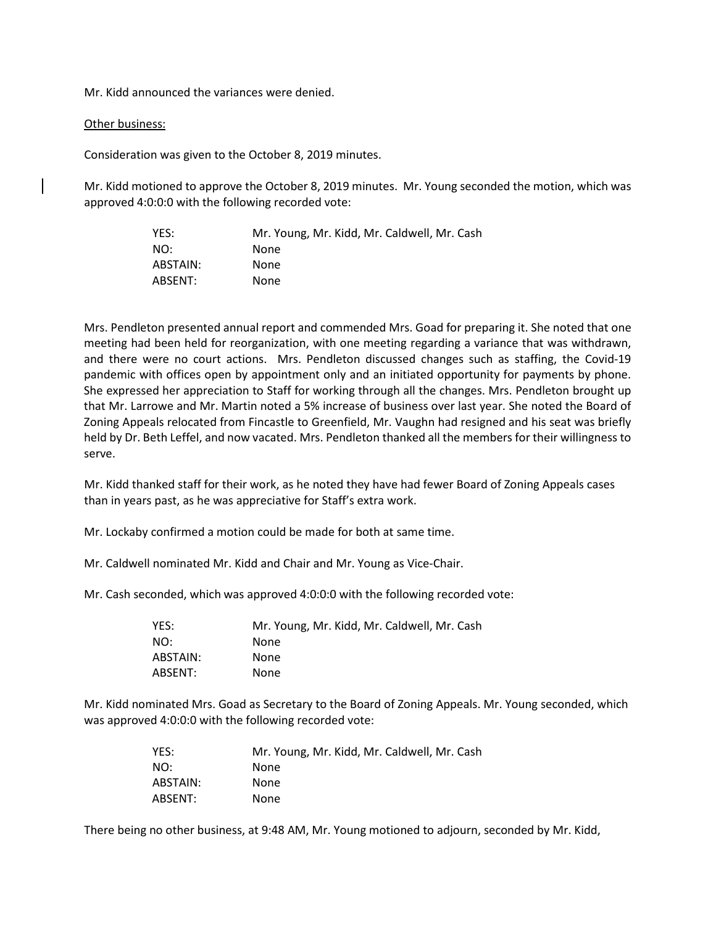Mr. Kidd announced the variances were denied.

## Other business:

Consideration was given to the October 8, 2019 minutes.

Mr. Kidd motioned to approve the October 8, 2019 minutes. Mr. Young seconded the motion, which was approved 4:0:0:0 with the following recorded vote:

| YES:     | Mr. Young, Mr. Kidd, Mr. Caldwell, Mr. Cash |
|----------|---------------------------------------------|
| NO:      | <b>None</b>                                 |
| ABSTAIN: | None                                        |
| ABSENT:  | None                                        |

Mrs. Pendleton presented annual report and commended Mrs. Goad for preparing it. She noted that one meeting had been held for reorganization, with one meeting regarding a variance that was withdrawn, and there were no court actions. Mrs. Pendleton discussed changes such as staffing, the Covid-19 pandemic with offices open by appointment only and an initiated opportunity for payments by phone. She expressed her appreciation to Staff for working through all the changes. Mrs. Pendleton brought up that Mr. Larrowe and Mr. Martin noted a 5% increase of business over last year. She noted the Board of Zoning Appeals relocated from Fincastle to Greenfield, Mr. Vaughn had resigned and his seat was briefly held by Dr. Beth Leffel, and now vacated. Mrs. Pendleton thanked all the members for their willingness to serve.

Mr. Kidd thanked staff for their work, as he noted they have had fewer Board of Zoning Appeals cases than in years past, as he was appreciative for Staff's extra work.

Mr. Lockaby confirmed a motion could be made for both at same time.

Mr. Caldwell nominated Mr. Kidd and Chair and Mr. Young as Vice-Chair.

Mr. Cash seconded, which was approved 4:0:0:0 with the following recorded vote:

| YES:     | Mr. Young, Mr. Kidd, Mr. Caldwell, Mr. Cash |
|----------|---------------------------------------------|
| NO:      | None                                        |
| ABSTAIN: | None                                        |
| ABSENT:  | None                                        |

Mr. Kidd nominated Mrs. Goad as Secretary to the Board of Zoning Appeals. Mr. Young seconded, which was approved 4:0:0:0 with the following recorded vote:

| YES:     | Mr. Young, Mr. Kidd, Mr. Caldwell, Mr. Cash |
|----------|---------------------------------------------|
| NO:      | None                                        |
| ABSTAIN: | None                                        |
| ABSENT:  | <b>None</b>                                 |

There being no other business, at 9:48 AM, Mr. Young motioned to adjourn, seconded by Mr. Kidd,